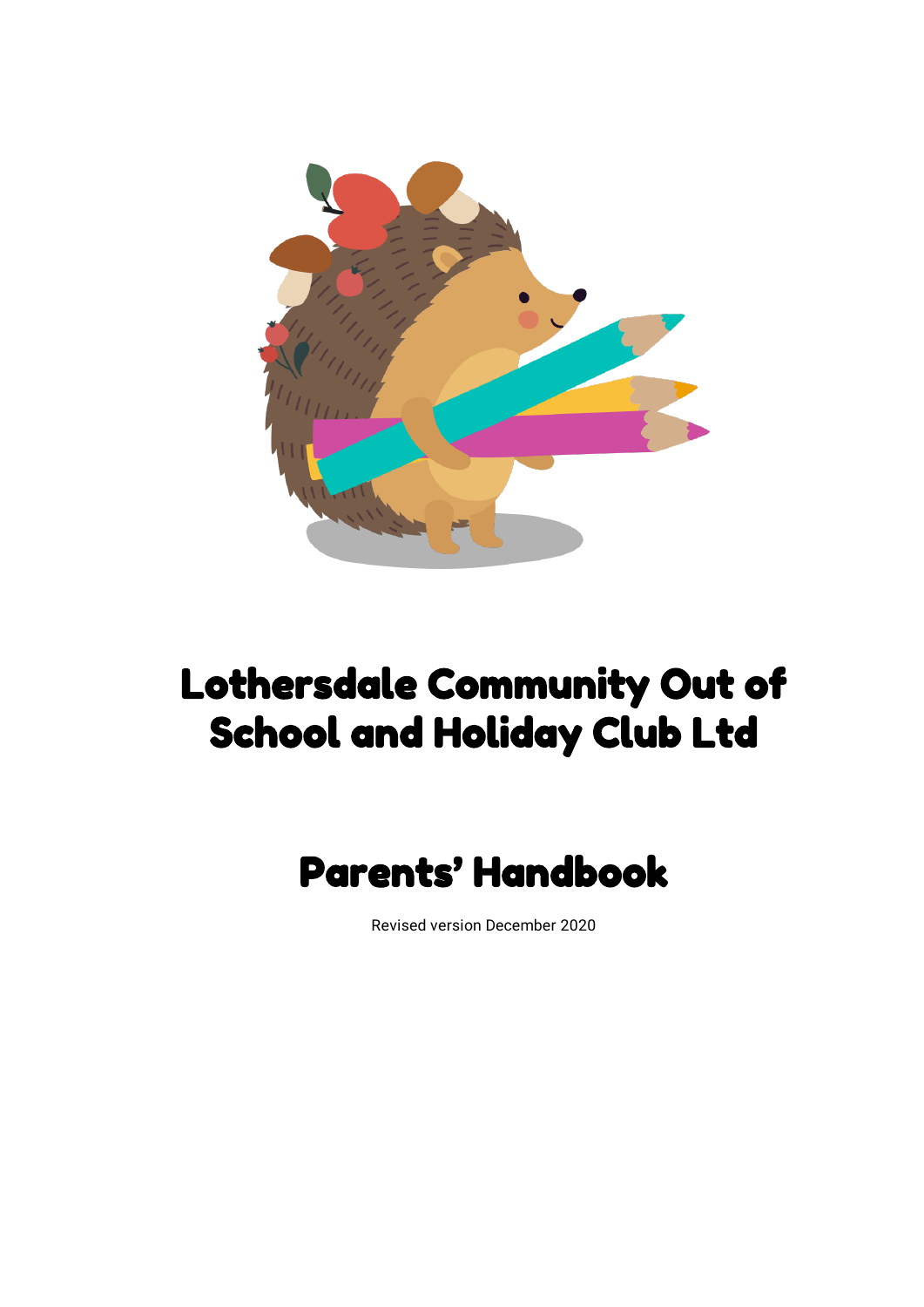

# Lothersdale Community Out of School and Holiday Club Ltd

# Parents' Handbook

Revised version December 2020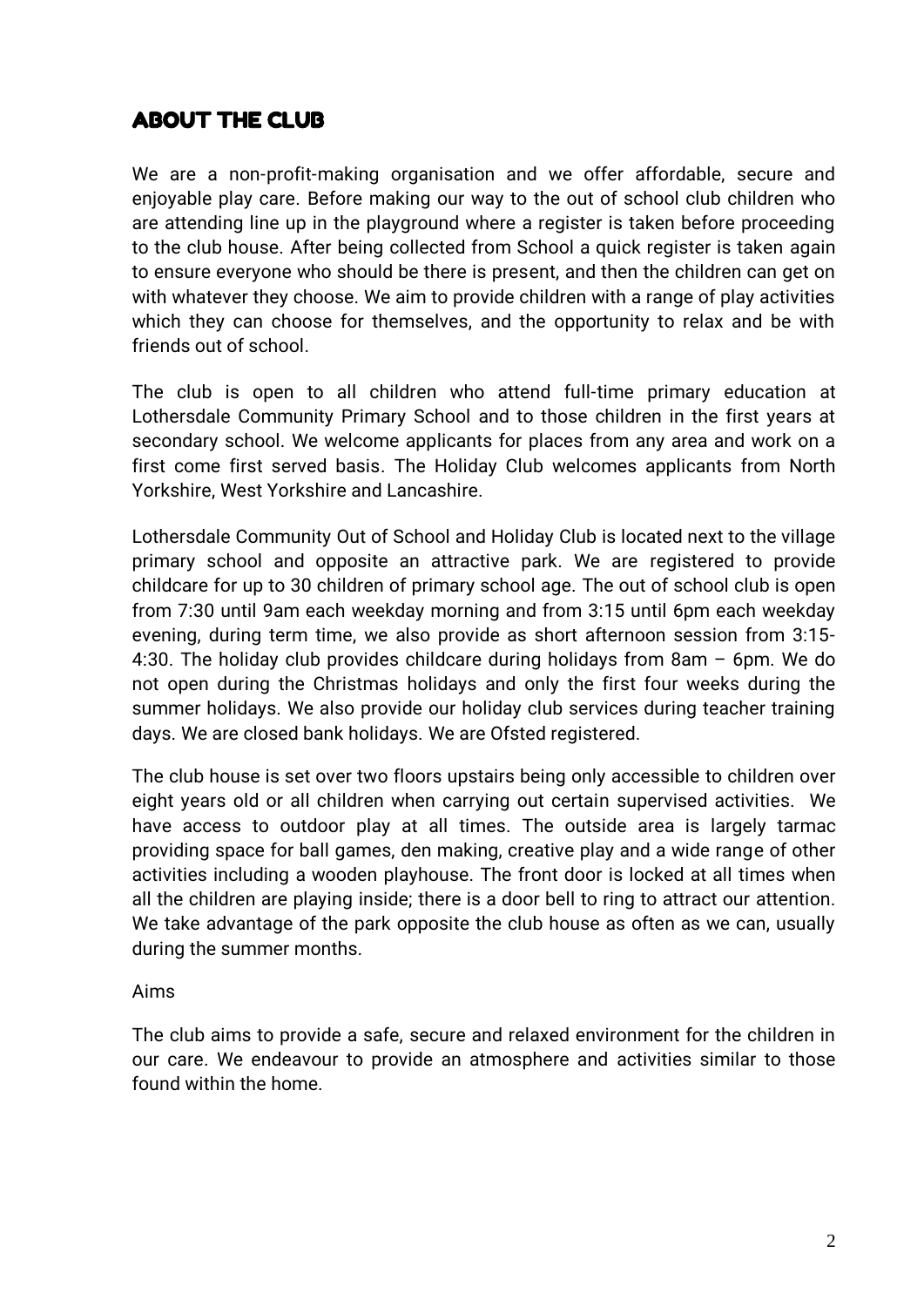# ABOUT THE CLUB

We are a non-profit-making organisation and we offer affordable, secure and enjoyable play care. Before making our way to the out of school club children who are attending line up in the playground where a register is taken before proceeding to the club house. After being collected from School a quick register is taken again to ensure everyone who should be there is present, and then the children can get on with whatever they choose. We aim to provide children with a range of play activities which they can choose for themselves, and the opportunity to relax and be with friends out of school.

The club is open to all children who attend full-time primary education at Lothersdale Community Primary School and to those children in the first years at secondary school. We welcome applicants for places from any area and work on a first come first served basis. The Holiday Club welcomes applicants from North Yorkshire, West Yorkshire and Lancashire.

Lothersdale Community Out of School and Holiday Club is located next to the village primary school and opposite an attractive park. We are registered to provide childcare for up to 30 children of primary school age. The out of school club is open from 7:30 until 9am each weekday morning and from 3:15 until 6pm each weekday evening, during term time, we also provide as short afternoon session from 3:15- 4:30. The holiday club provides childcare during holidays from 8am – 6pm. We do not open during the Christmas holidays and only the first four weeks during the summer holidays. We also provide our holiday club services during teacher training days. We are closed bank holidays. We are Ofsted registered.

The club house is set over two floors upstairs being only accessible to children over eight years old or all children when carrying out certain supervised activities. We have access to outdoor play at all times. The outside area is largely tarmac providing space for ball games, den making, creative play and a wide range of other activities including a wooden playhouse. The front door is locked at all times when all the children are playing inside; there is a door bell to ring to attract our attention. We take advantage of the park opposite the club house as often as we can, usually during the summer months.

#### Aims

The club aims to provide a safe, secure and relaxed environment for the children in our care. We endeavour to provide an atmosphere and activities similar to those found within the home.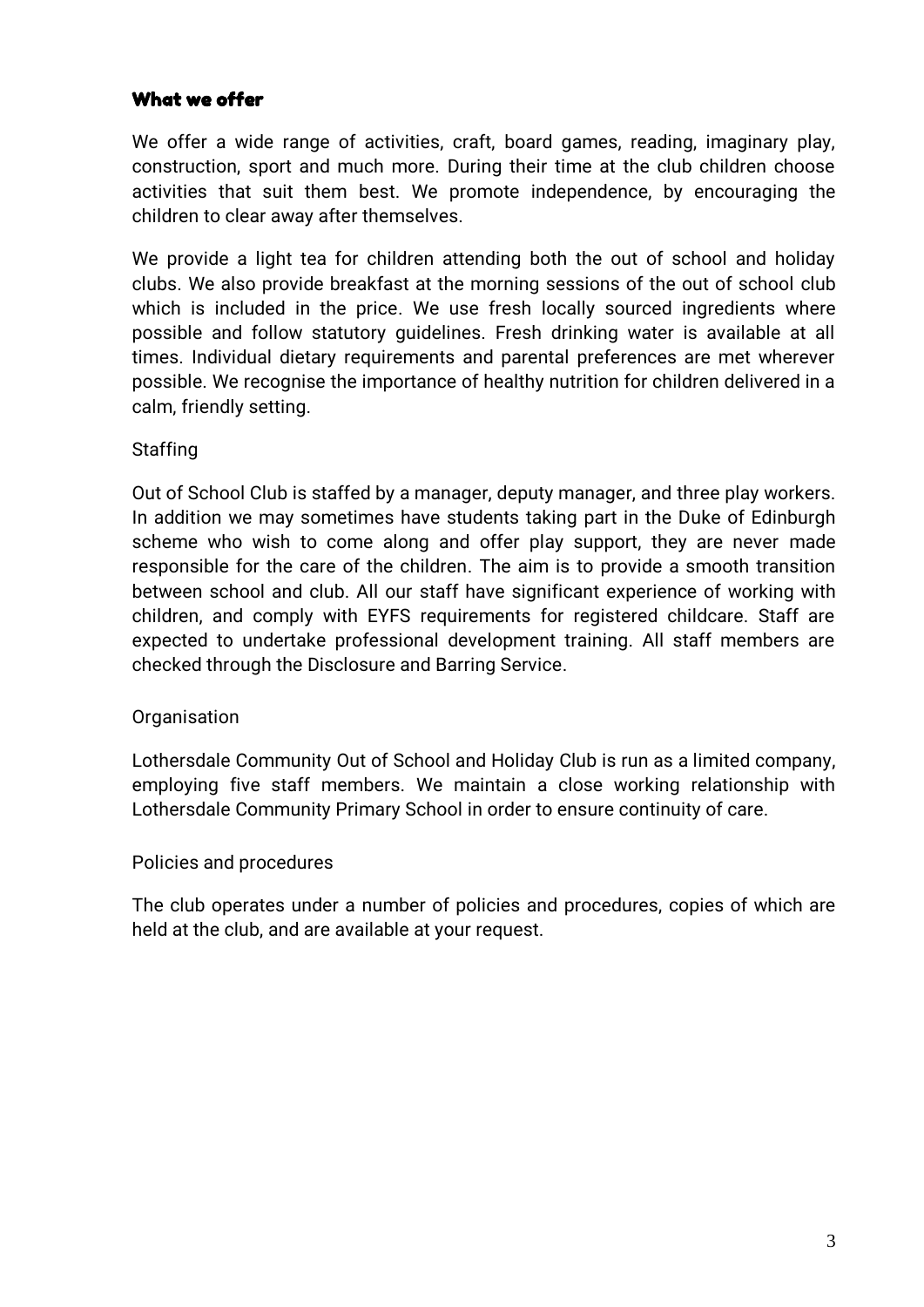## What we offer

We offer a wide range of activities, craft, board games, reading, imaginary play, construction, sport and much more. During their time at the club children choose activities that suit them best. We promote independence, by encouraging the children to clear away after themselves.

We provide a light tea for children attending both the out of school and holiday clubs. We also provide breakfast at the morning sessions of the out of school club which is included in the price. We use fresh locally sourced ingredients where possible and follow statutory guidelines. Fresh drinking water is available at all times. Individual dietary requirements and parental preferences are met wherever possible. We recognise the importance of healthy nutrition for children delivered in a calm, friendly setting.

#### **Staffing**

Out of School Club is staffed by a manager, deputy manager, and three play workers. In addition we may sometimes have students taking part in the Duke of Edinburgh scheme who wish to come along and offer play support, they are never made responsible for the care of the children. The aim is to provide a smooth transition between school and club. All our staff have significant experience of working with children, and comply with EYFS requirements for registered childcare. Staff are expected to undertake professional development training. All staff members are checked through the Disclosure and Barring Service.

#### **Organisation**

Lothersdale Community Out of School and Holiday Club is run as a limited company, employing five staff members. We maintain a close working relationship with Lothersdale Community Primary School in order to ensure continuity of care.

#### Policies and procedures

The club operates under a number of policies and procedures, copies of which are held at the club, and are available at your request.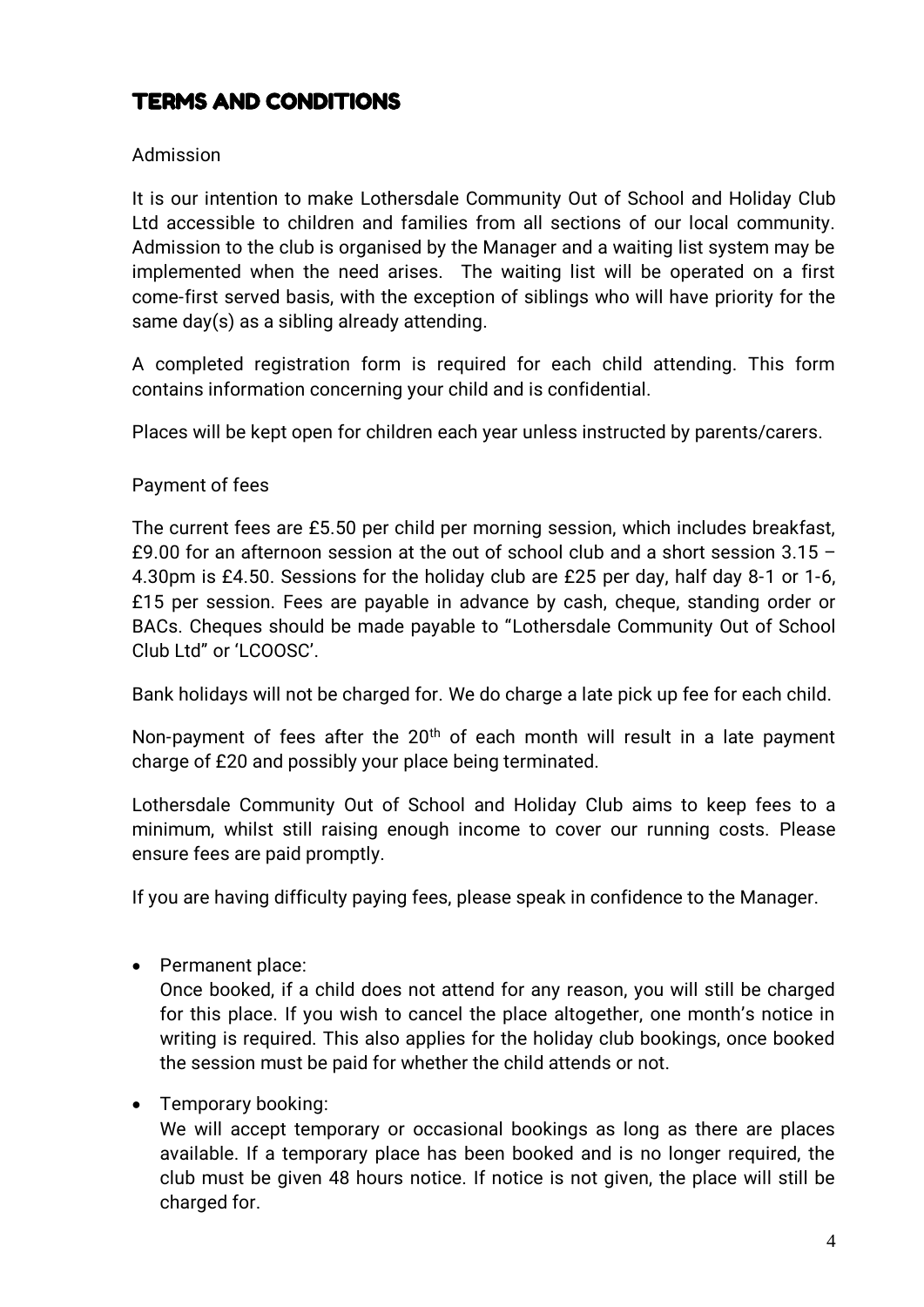# TERMS AND CONDITIONS

## Admission

It is our intention to make Lothersdale Community Out of School and Holiday Club Ltd accessible to children and families from all sections of our local community. Admission to the club is organised by the Manager and a waiting list system may be implemented when the need arises. The waiting list will be operated on a first come-first served basis, with the exception of siblings who will have priority for the same day(s) as a sibling already attending.

A completed registration form is required for each child attending. This form contains information concerning your child and is confidential.

Places will be kept open for children each year unless instructed by parents/carers.

## Payment of fees

The current fees are £5.50 per child per morning session, which includes breakfast, £9.00 for an afternoon session at the out of school club and a short session  $3.15 -$ 4.30pm is £4.50. Sessions for the holiday club are £25 per day, half day 8-1 or 1-6, £15 per session. Fees are payable in advance by cash, cheque, standing order or BACs. Cheques should be made payable to "Lothersdale Community Out of School Club Ltd" or 'LCOOSC'.

Bank holidays will not be charged for. We do charge a late pick up fee for each child.

Non-payment of fees after the  $20<sup>th</sup>$  of each month will result in a late payment charge of £20 and possibly your place being terminated.

Lothersdale Community Out of School and Holiday Club aims to keep fees to a minimum, whilst still raising enough income to cover our running costs. Please ensure fees are paid promptly.

If you are having difficulty paying fees, please speak in confidence to the Manager.

• Permanent place:

Once booked, if a child does not attend for any reason, you will still be charged for this place. If you wish to cancel the place altogether, one month's notice in writing is required. This also applies for the holiday club bookings, once booked the session must be paid for whether the child attends or not.

• Temporary booking:

We will accept temporary or occasional bookings as long as there are places available. If a temporary place has been booked and is no longer required, the club must be given 48 hours notice. If notice is not given, the place will still be charged for.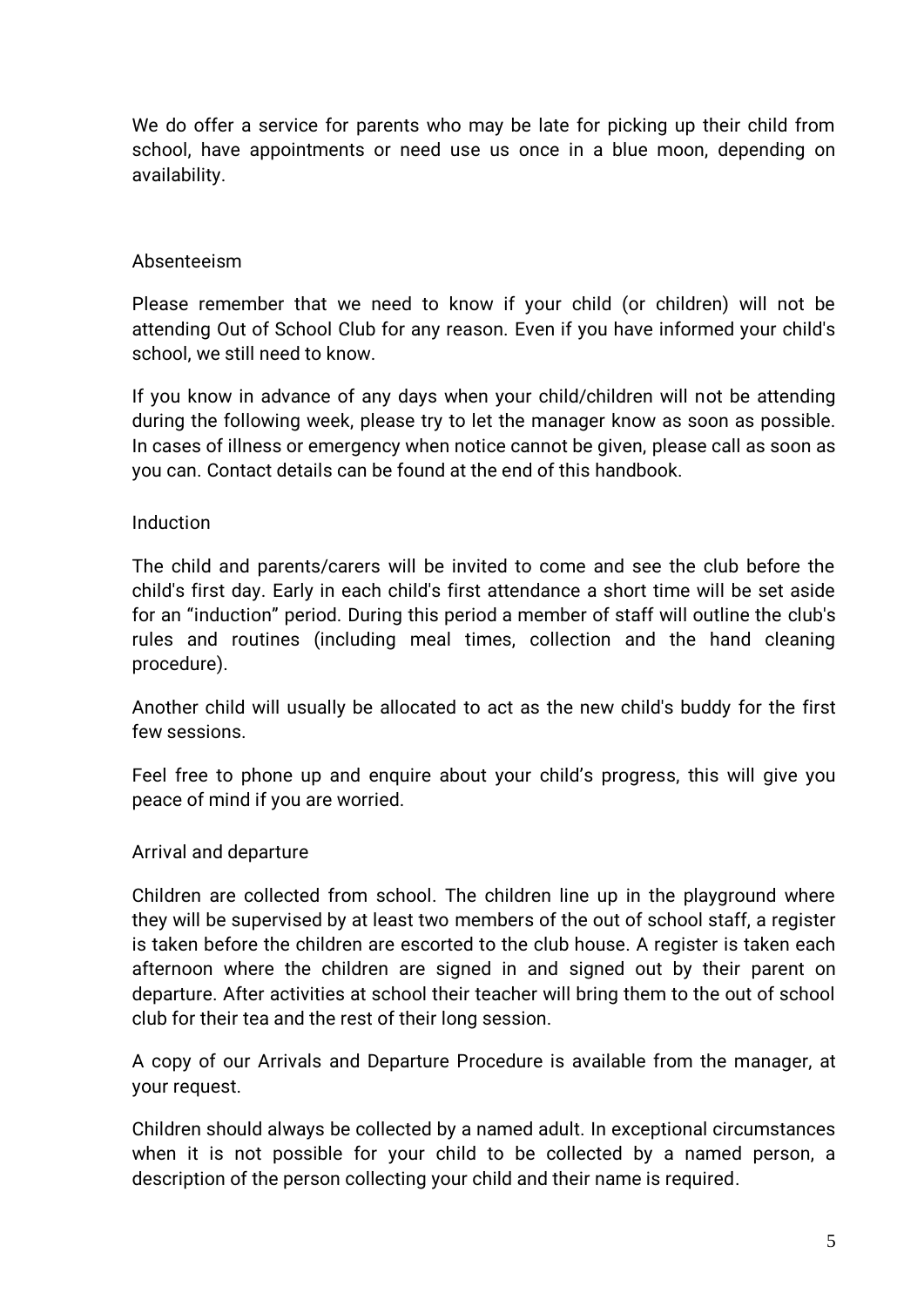We do offer a service for parents who may be late for picking up their child from school, have appointments or need use us once in a blue moon, depending on availability.

#### Absenteeism

Please remember that we need to know if your child (or children) will not be attending Out of School Club for any reason. Even if you have informed your child's school, we still need to know.

If you know in advance of any days when your child/children will not be attending during the following week, please try to let the manager know as soon as possible. In cases of illness or emergency when notice cannot be given, please call as soon as you can. Contact details can be found at the end of this handbook.

#### Induction

The child and parents/carers will be invited to come and see the club before the child's first day. Early in each child's first attendance a short time will be set aside for an "induction" period. During this period a member of staff will outline the club's rules and routines (including meal times, collection and the hand cleaning procedure).

Another child will usually be allocated to act as the new child's buddy for the first few sessions.

Feel free to phone up and enquire about your child's progress, this will give you peace of mind if you are worried.

#### Arrival and departure

Children are collected from school. The children line up in the playground where they will be supervised by at least two members of the out of school staff, a register is taken before the children are escorted to the club house. A register is taken each afternoon where the children are signed in and signed out by their parent on departure. After activities at school their teacher will bring them to the out of school club for their tea and the rest of their long session.

A copy of our Arrivals and Departure Procedure is available from the manager, at your request.

Children should always be collected by a named adult. In exceptional circumstances when it is not possible for your child to be collected by a named person, a description of the person collecting your child and their name is required.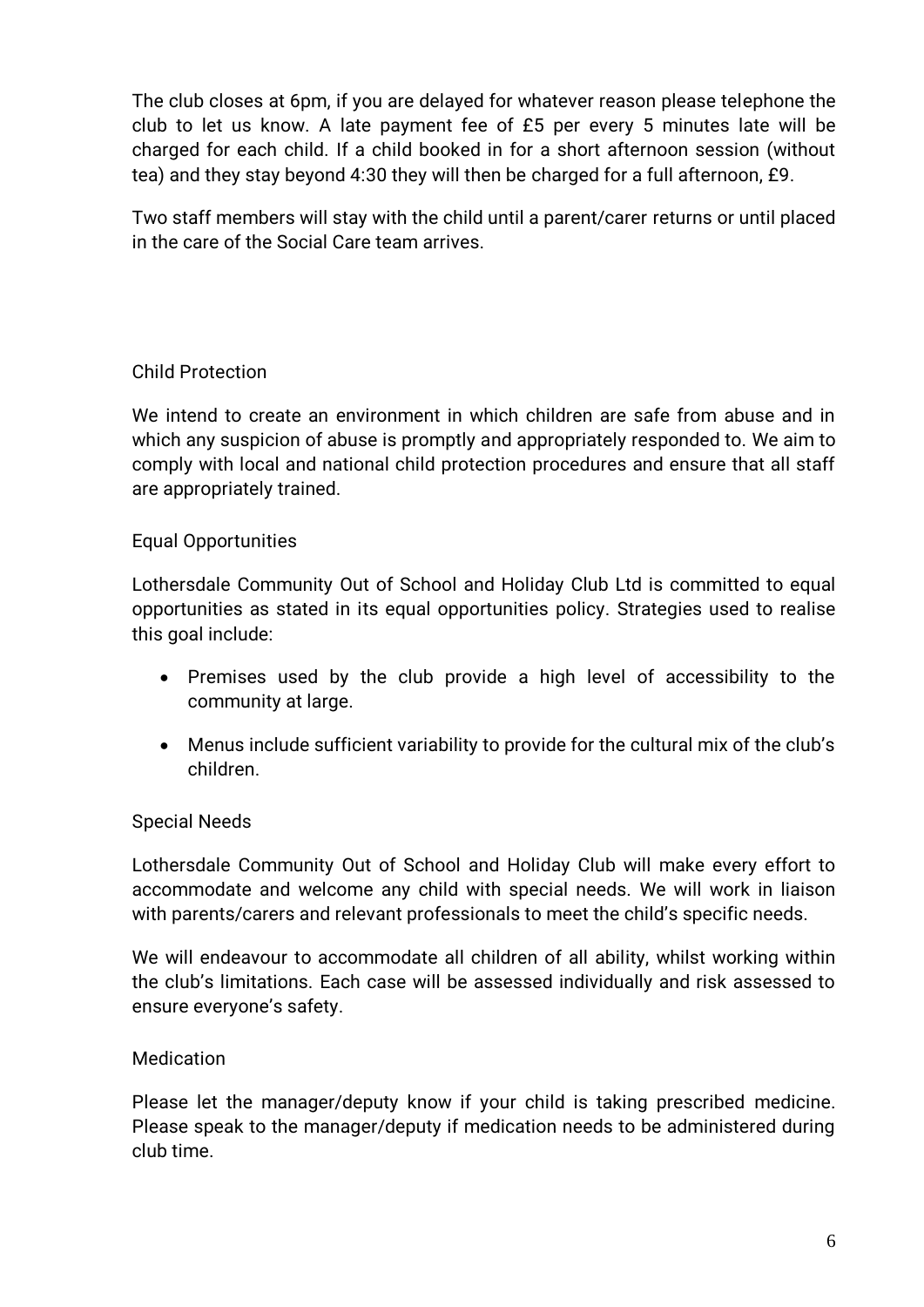The club closes at 6pm, if you are delayed for whatever reason please telephone the club to let us know. A late payment fee of £5 per every 5 minutes late will be charged for each child. If a child booked in for a short afternoon session (without tea) and they stay beyond 4:30 they will then be charged for a full afternoon, £9.

Two staff members will stay with the child until a parent/carer returns or until placed in the care of the Social Care team arrives.

# Child Protection

We intend to create an environment in which children are safe from abuse and in which any suspicion of abuse is promptly and appropriately responded to. We aim to comply with local and national child protection procedures and ensure that all staff are appropriately trained.

## Equal Opportunities

Lothersdale Community Out of School and Holiday Club Ltd is committed to equal opportunities as stated in its equal opportunities policy. Strategies used to realise this goal include:

- Premises used by the club provide a high level of accessibility to the community at large.
- Menus include sufficient variability to provide for the cultural mix of the club's children.

## Special Needs

Lothersdale Community Out of School and Holiday Club will make every effort to accommodate and welcome any child with special needs. We will work in liaison with parents/carers and relevant professionals to meet the child's specific needs.

We will endeavour to accommodate all children of all ability, whilst working within the club's limitations. Each case will be assessed individually and risk assessed to ensure everyone's safety.

## **Medication**

Please let the manager/deputy know if your child is taking prescribed medicine. Please speak to the manager/deputy if medication needs to be administered during club time.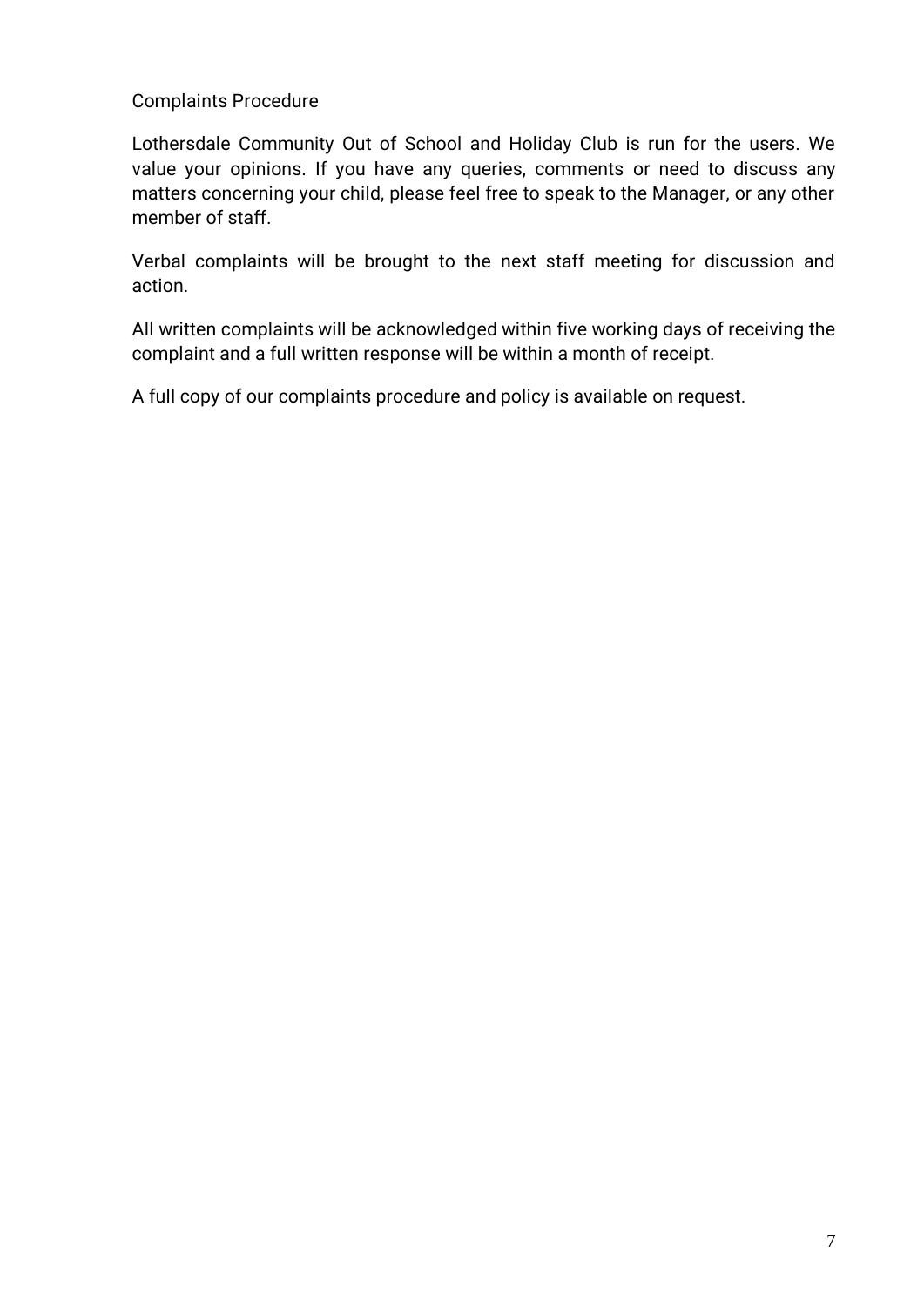## Complaints Procedure

Lothersdale Community Out of School and Holiday Club is run for the users. We value your opinions. If you have any queries, comments or need to discuss any matters concerning your child, please feel free to speak to the Manager, or any other member of staff.

Verbal complaints will be brought to the next staff meeting for discussion and action.

All written complaints will be acknowledged within five working days of receiving the complaint and a full written response will be within a month of receipt.

A full copy of our complaints procedure and policy is available on request.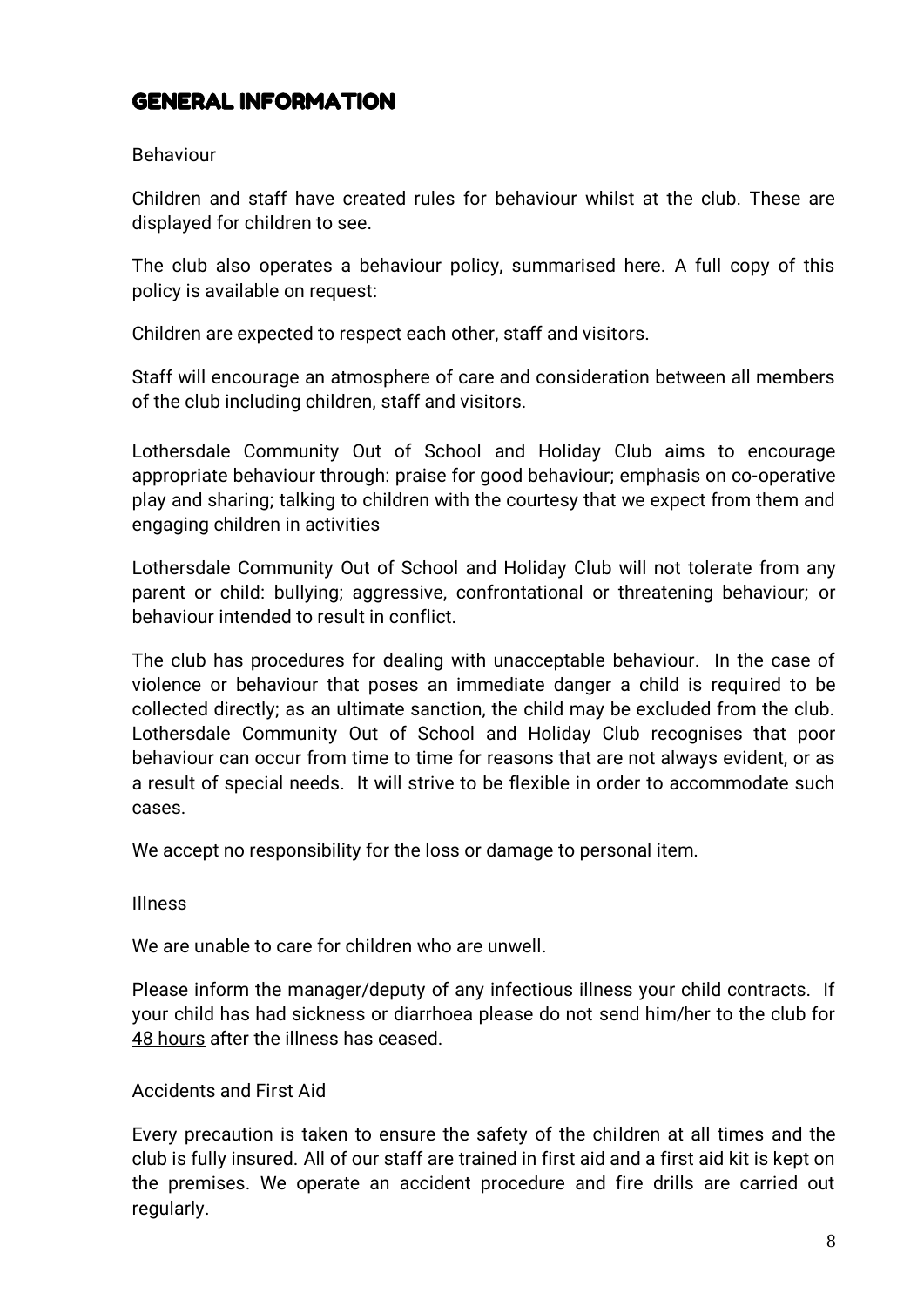# GENERAL INFORMATION

#### Behaviour

Children and staff have created rules for behaviour whilst at the club. These are displayed for children to see.

The club also operates a behaviour policy, summarised here. A full copy of this policy is available on request:

Children are expected to respect each other, staff and visitors.

Staff will encourage an atmosphere of care and consideration between all members of the club including children, staff and visitors.

Lothersdale Community Out of School and Holiday Club aims to encourage appropriate behaviour through: praise for good behaviour; emphasis on co-operative play and sharing; talking to children with the courtesy that we expect from them and engaging children in activities

Lothersdale Community Out of School and Holiday Club will not tolerate from any parent or child: bullying; aggressive, confrontational or threatening behaviour; or behaviour intended to result in conflict.

The club has procedures for dealing with unacceptable behaviour. In the case of violence or behaviour that poses an immediate danger a child is required to be collected directly; as an ultimate sanction, the child may be excluded from the club. Lothersdale Community Out of School and Holiday Club recognises that poor behaviour can occur from time to time for reasons that are not always evident, or as a result of special needs. It will strive to be flexible in order to accommodate such cases.

We accept no responsibility for the loss or damage to personal item.

Illness

We are unable to care for children who are unwell.

Please inform the manager/deputy of any infectious illness your child contracts. If your child has had sickness or diarrhoea please do not send him/her to the club for 48 hours after the illness has ceased.

#### Accidents and First Aid

Every precaution is taken to ensure the safety of the children at all times and the club is fully insured. All of our staff are trained in first aid and a first aid kit is kept on the premises. We operate an accident procedure and fire drills are carried out regularly.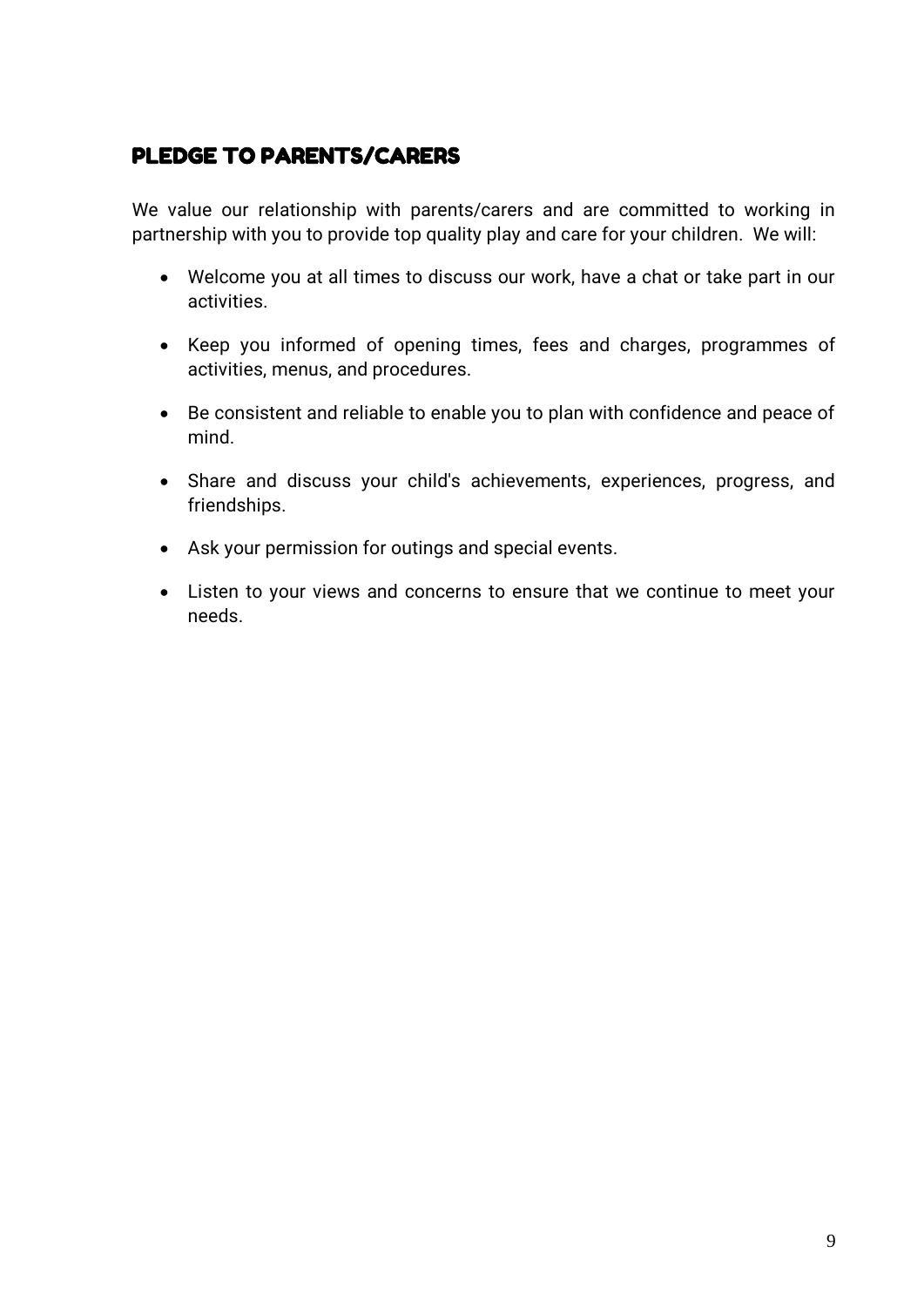# PLEDGE TO PARENTS/CARERS

We value our relationship with parents/carers and are committed to working in partnership with you to provide top quality play and care for your children. We will:

- Welcome you at all times to discuss our work, have a chat or take part in our activities.
- Keep you informed of opening times, fees and charges, programmes of activities, menus, and procedures.
- Be consistent and reliable to enable you to plan with confidence and peace of mind.
- Share and discuss your child's achievements, experiences, progress, and friendships.
- Ask your permission for outings and special events.
- Listen to your views and concerns to ensure that we continue to meet your needs.